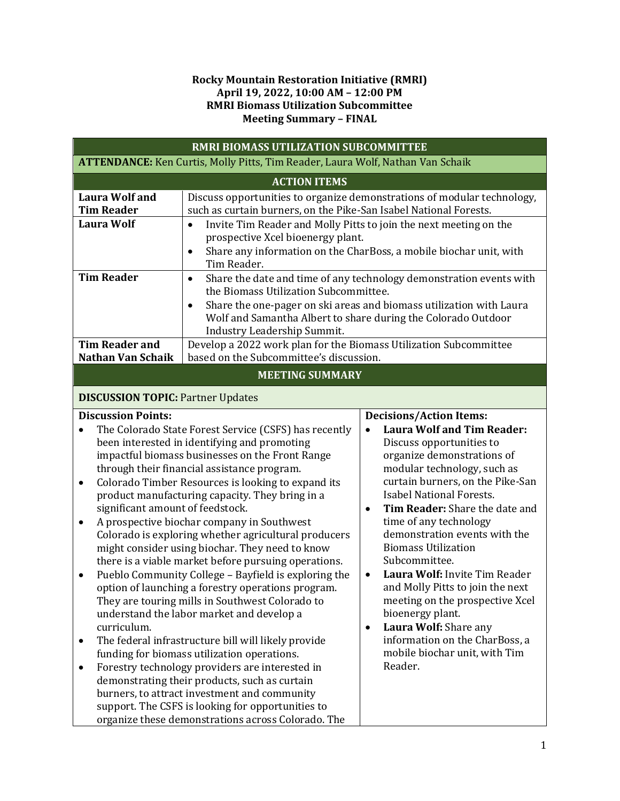## **Rocky Mountain Restoration Initiative (RMRI) April 19, 2022, 10:00 AM – 12:00 PM RMRI Biomass Utilization Subcommittee Meeting Summary – FINAL**

| RMRI BIOMASS UTILIZATION SUBCOMMITTEE                                                                                                                                                                                                                                                                                                                                                                                                                                                                                                                                                                                                                                                                                                                                                                                                                                                                                                                                                                                                                                                                                                                                                                                                                                                                                                                                                                                                                                                                                                                                                                                                                                                                                                                                                                                                                                                                                           |                                                                                                                                                                 |                                                                                                                                            |  |  |
|---------------------------------------------------------------------------------------------------------------------------------------------------------------------------------------------------------------------------------------------------------------------------------------------------------------------------------------------------------------------------------------------------------------------------------------------------------------------------------------------------------------------------------------------------------------------------------------------------------------------------------------------------------------------------------------------------------------------------------------------------------------------------------------------------------------------------------------------------------------------------------------------------------------------------------------------------------------------------------------------------------------------------------------------------------------------------------------------------------------------------------------------------------------------------------------------------------------------------------------------------------------------------------------------------------------------------------------------------------------------------------------------------------------------------------------------------------------------------------------------------------------------------------------------------------------------------------------------------------------------------------------------------------------------------------------------------------------------------------------------------------------------------------------------------------------------------------------------------------------------------------------------------------------------------------|-----------------------------------------------------------------------------------------------------------------------------------------------------------------|--------------------------------------------------------------------------------------------------------------------------------------------|--|--|
| <b>ATTENDANCE:</b> Ken Curtis, Molly Pitts, Tim Reader, Laura Wolf, Nathan Van Schaik                                                                                                                                                                                                                                                                                                                                                                                                                                                                                                                                                                                                                                                                                                                                                                                                                                                                                                                                                                                                                                                                                                                                                                                                                                                                                                                                                                                                                                                                                                                                                                                                                                                                                                                                                                                                                                           |                                                                                                                                                                 |                                                                                                                                            |  |  |
| <b>ACTION ITEMS</b>                                                                                                                                                                                                                                                                                                                                                                                                                                                                                                                                                                                                                                                                                                                                                                                                                                                                                                                                                                                                                                                                                                                                                                                                                                                                                                                                                                                                                                                                                                                                                                                                                                                                                                                                                                                                                                                                                                             |                                                                                                                                                                 |                                                                                                                                            |  |  |
| <b>Laura Wolf and</b><br><b>Tim Reader</b>                                                                                                                                                                                                                                                                                                                                                                                                                                                                                                                                                                                                                                                                                                                                                                                                                                                                                                                                                                                                                                                                                                                                                                                                                                                                                                                                                                                                                                                                                                                                                                                                                                                                                                                                                                                                                                                                                      | Discuss opportunities to organize demonstrations of modular technology,<br>such as curtain burners, on the Pike-San Isabel National Forests.                    |                                                                                                                                            |  |  |
| <b>Laura Wolf</b>                                                                                                                                                                                                                                                                                                                                                                                                                                                                                                                                                                                                                                                                                                                                                                                                                                                                                                                                                                                                                                                                                                                                                                                                                                                                                                                                                                                                                                                                                                                                                                                                                                                                                                                                                                                                                                                                                                               | Invite Tim Reader and Molly Pitts to join the next meeting on the<br>$\bullet$<br>prospective Xcel bioenergy plant.<br>$\bullet$<br>Tim Reader.                 | Share any information on the CharBoss, a mobile biochar unit, with                                                                         |  |  |
| <b>Tim Reader</b>                                                                                                                                                                                                                                                                                                                                                                                                                                                                                                                                                                                                                                                                                                                                                                                                                                                                                                                                                                                                                                                                                                                                                                                                                                                                                                                                                                                                                                                                                                                                                                                                                                                                                                                                                                                                                                                                                                               | $\bullet$<br>the Biomass Utilization Subcommittee.<br>$\bullet$<br>Wolf and Samantha Albert to share during the Colorado Outdoor<br>Industry Leadership Summit. | Share the date and time of any technology demonstration events with<br>Share the one-pager on ski areas and biomass utilization with Laura |  |  |
| <b>Tim Reader and</b><br><b>Nathan Van Schaik</b>                                                                                                                                                                                                                                                                                                                                                                                                                                                                                                                                                                                                                                                                                                                                                                                                                                                                                                                                                                                                                                                                                                                                                                                                                                                                                                                                                                                                                                                                                                                                                                                                                                                                                                                                                                                                                                                                               | Develop a 2022 work plan for the Biomass Utilization Subcommittee<br>based on the Subcommittee's discussion.                                                    |                                                                                                                                            |  |  |
| <b>MEETING SUMMARY</b>                                                                                                                                                                                                                                                                                                                                                                                                                                                                                                                                                                                                                                                                                                                                                                                                                                                                                                                                                                                                                                                                                                                                                                                                                                                                                                                                                                                                                                                                                                                                                                                                                                                                                                                                                                                                                                                                                                          |                                                                                                                                                                 |                                                                                                                                            |  |  |
|                                                                                                                                                                                                                                                                                                                                                                                                                                                                                                                                                                                                                                                                                                                                                                                                                                                                                                                                                                                                                                                                                                                                                                                                                                                                                                                                                                                                                                                                                                                                                                                                                                                                                                                                                                                                                                                                                                                                 |                                                                                                                                                                 |                                                                                                                                            |  |  |
| <b>DISCUSSION TOPIC: Partner Updates</b>                                                                                                                                                                                                                                                                                                                                                                                                                                                                                                                                                                                                                                                                                                                                                                                                                                                                                                                                                                                                                                                                                                                                                                                                                                                                                                                                                                                                                                                                                                                                                                                                                                                                                                                                                                                                                                                                                        |                                                                                                                                                                 |                                                                                                                                            |  |  |
| <b>Discussion Points:</b><br><b>Decisions/Action Items:</b><br><b>Laura Wolf and Tim Reader:</b><br>The Colorado State Forest Service (CSFS) has recently<br>$\bullet$<br>$\bullet$<br>been interested in identifying and promoting<br>Discuss opportunities to<br>impactful biomass businesses on the Front Range<br>organize demonstrations of<br>modular technology, such as<br>through their financial assistance program.<br>curtain burners, on the Pike-San<br>Colorado Timber Resources is looking to expand its<br>٠<br><b>Isabel National Forests.</b><br>product manufacturing capacity. They bring in a<br>Tim Reader: Share the date and<br>significant amount of feedstock.<br>$\bullet$<br>A prospective biochar company in Southwest<br>time of any technology<br>$\bullet$<br>demonstration events with the<br>Colorado is exploring whether agricultural producers<br><b>Biomass Utilization</b><br>might consider using biochar. They need to know<br>Subcommittee.<br>there is a viable market before pursuing operations.<br>Laura Wolf: Invite Tim Reader<br>Pueblo Community College - Bayfield is exploring the<br>$\bullet$<br>$\bullet$<br>and Molly Pitts to join the next<br>option of launching a forestry operations program.<br>They are touring mills in Southwest Colorado to<br>meeting on the prospective Xcel<br>bioenergy plant.<br>understand the labor market and develop a<br>curriculum.<br>Laura Wolf: Share any<br>$\bullet$<br>information on the CharBoss, a<br>The federal infrastructure bill will likely provide<br>mobile biochar unit, with Tim<br>funding for biomass utilization operations.<br>Reader.<br>Forestry technology providers are interested in<br>٠<br>demonstrating their products, such as curtain<br>burners, to attract investment and community<br>support. The CSFS is looking for opportunities to<br>organize these demonstrations across Colorado. The |                                                                                                                                                                 |                                                                                                                                            |  |  |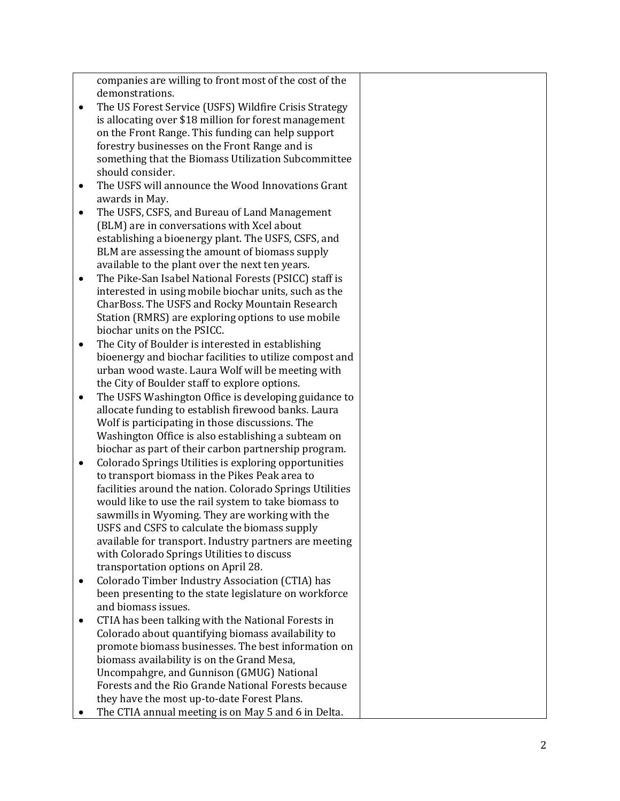companies are willing to front most of the cost of the demonstrations.

- The US Forest Service (USFS) Wildfire Crisis Strategy is allocating over \$18 million for forest management on the Front Range. This funding can help support forestry businesses on the Front Range and is something that the Biomass Utilization Subcommittee should consider.
- The USFS will announce the Wood Innovations Grant awards in May.
- The USFS, CSFS, and Bureau of Land Management (BLM) are in conversations with Xcel about establishing a bioenergy plant. The USFS, CSFS, and BLM are assessing the amount of biomass supply available to the plant over the next ten years.
- The Pike -San Isabel National Forests (PSICC) staff is interested in using mobile biochar units, such as the CharBoss. The USFS and Rocky Mountain Research Station (RMRS) are exploring options to use mobile biochar units on the PSICC.
- The City of Boulder is interested in establishing bioenergy and biochar facilities to utilize compost and urban wood waste. Laura Wolf will be meeting with the City of Boulder staff to explore options.
- The USFS Washington Office is developing guidance to allocate funding to establish firewood banks. Laura Wolf is participating in those discussions. The Washington Office is also establishing a subteam on biochar as part of their carbon partnership program.
- Colorado Springs Utilities is exploring opportunities to transport biomass in the Pikes Peak area to facilities around the nation. Colorado Springs Utilities would like to use the rail system to take biomass to sawmills in Wyoming. They are working with the USFS and CSFS to calculate the biomass supply available for transport. Industry partners are meeting with Colorado Springs Utilities to discuss transportation options on April 28.
- Colorado Timber Industry Association (CTIA) has been presenting to the state legislature on workforce and biomass issues.
- CTIA has been talking with the National Forests in Colorado about quantifying biomass availability to promote biomass businesses. The best information on biomass availability is on the Grand Mesa, Uncompahgre, and Gunnison (GMUG) National Forests and the Rio Grande National Forests because they have the most up -to -date Forest Plans.
- The CTIA annual meeting is on May 5 and 6 in Delta.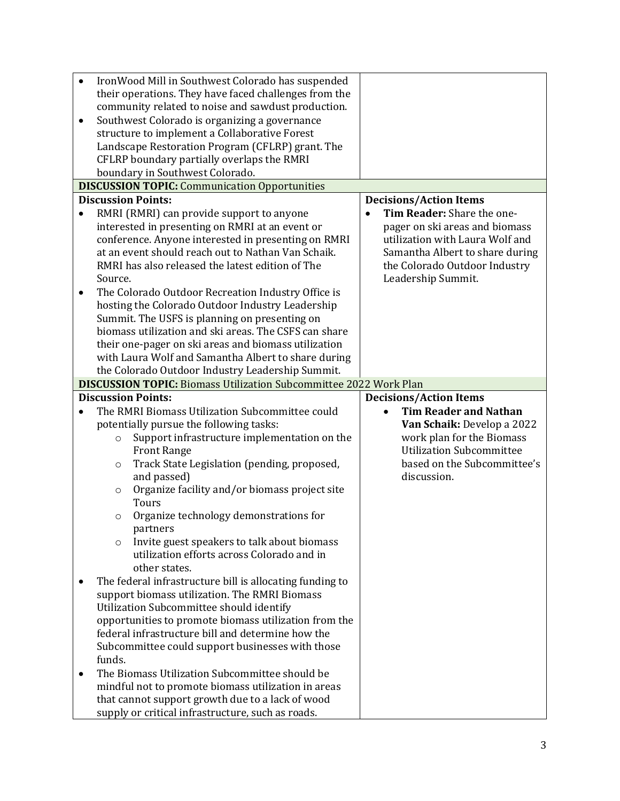| $\bullet$<br>boundary in Southwest Colorado.                                                                                                                             | IronWood Mill in Southwest Colorado has suspended<br>their operations. They have faced challenges from the<br>community related to noise and sawdust production.<br>Southwest Colorado is organizing a governance<br>structure to implement a Collaborative Forest<br>Landscape Restoration Program (CFLRP) grant. The<br>CFLRP boundary partially overlaps the RMRI<br><b>DISCUSSION TOPIC:</b> Communication Opportunities                                                  |                                                                                                                                                                                                                        |
|--------------------------------------------------------------------------------------------------------------------------------------------------------------------------|-------------------------------------------------------------------------------------------------------------------------------------------------------------------------------------------------------------------------------------------------------------------------------------------------------------------------------------------------------------------------------------------------------------------------------------------------------------------------------|------------------------------------------------------------------------------------------------------------------------------------------------------------------------------------------------------------------------|
| <b>Discussion Points:</b>                                                                                                                                                |                                                                                                                                                                                                                                                                                                                                                                                                                                                                               | <b>Decisions/Action Items</b>                                                                                                                                                                                          |
| $\bullet$<br>Source.                                                                                                                                                     | RMRI (RMRI) can provide support to anyone<br>interested in presenting on RMRI at an event or<br>conference. Anyone interested in presenting on RMRI<br>at an event should reach out to Nathan Van Schaik.<br>RMRI has also released the latest edition of The                                                                                                                                                                                                                 | Tim Reader: Share the one-<br>$\bullet$<br>pager on ski areas and biomass<br>utilization with Laura Wolf and<br>Samantha Albert to share during<br>the Colorado Outdoor Industry<br>Leadership Summit.                 |
| ٠                                                                                                                                                                        | The Colorado Outdoor Recreation Industry Office is<br>hosting the Colorado Outdoor Industry Leadership<br>Summit. The USFS is planning on presenting on<br>biomass utilization and ski areas. The CSFS can share<br>their one-pager on ski areas and biomass utilization<br>with Laura Wolf and Samantha Albert to share during<br>the Colorado Outdoor Industry Leadership Summit.                                                                                           |                                                                                                                                                                                                                        |
|                                                                                                                                                                          | <b>DISCUSSION TOPIC: Biomass Utilization Subcommittee 2022 Work Plan</b>                                                                                                                                                                                                                                                                                                                                                                                                      |                                                                                                                                                                                                                        |
| <b>Discussion Points:</b><br>$\bullet$<br>$\circ$<br><b>Front Range</b><br>$\circ$<br>and passed)<br>$\circ$<br>Tours<br>$\circ$<br>partners<br>$\circ$<br>other states. | The RMRI Biomass Utilization Subcommittee could<br>potentially pursue the following tasks:<br>Support infrastructure implementation on the<br>Track State Legislation (pending, proposed,<br>Organize facility and/or biomass project site<br>Organize technology demonstrations for<br>Invite guest speakers to talk about biomass<br>utilization efforts across Colorado and in<br>The federal infrastructure bill is allocating funding to                                 | <b>Decisions/Action Items</b><br><b>Tim Reader and Nathan</b><br>$\bullet$<br>Van Schaik: Develop a 2022<br>work plan for the Biomass<br><b>Utilization Subcommittee</b><br>based on the Subcommittee's<br>discussion. |
| funds.                                                                                                                                                                   | support biomass utilization. The RMRI Biomass<br>Utilization Subcommittee should identify<br>opportunities to promote biomass utilization from the<br>federal infrastructure bill and determine how the<br>Subcommittee could support businesses with those<br>The Biomass Utilization Subcommittee should be<br>mindful not to promote biomass utilization in areas<br>that cannot support growth due to a lack of wood<br>supply or critical infrastructure, such as roads. |                                                                                                                                                                                                                        |